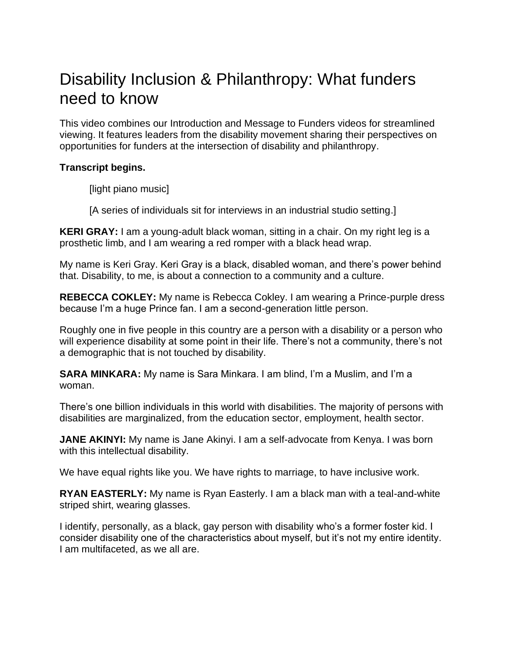## Disability Inclusion & Philanthropy: What funders need to know

This video combines our Introduction and Message to Funders videos for streamlined viewing. It features leaders from the disability movement sharing their perspectives on opportunities for funders at the intersection of disability and philanthropy.

## **Transcript begins.**

[light piano music]

[A series of individuals sit for interviews in an industrial studio setting.]

**KERI GRAY:** I am a young-adult black woman, sitting in a chair. On my right leg is a prosthetic limb, and I am wearing a red romper with a black head wrap.

My name is Keri Gray. Keri Gray is a black, disabled woman, and there's power behind that. Disability, to me, is about a connection to a community and a culture.

**REBECCA COKLEY:** My name is Rebecca Cokley. I am wearing a Prince-purple dress because I'm a huge Prince fan. I am a second-generation little person.

Roughly one in five people in this country are a person with a disability or a person who will experience disability at some point in their life. There's not a community, there's not a demographic that is not touched by disability.

**SARA MINKARA:** My name is Sara Minkara. I am blind, I'm a Muslim, and I'm a woman.

There's one billion individuals in this world with disabilities. The majority of persons with disabilities are marginalized, from the education sector, employment, health sector.

**JANE AKINYI:** My name is Jane Akinyi. I am a self-advocate from Kenya. I was born with this intellectual disability.

We have equal rights like you. We have rights to marriage, to have inclusive work.

**RYAN EASTERLY:** My name is Ryan Easterly. I am a black man with a teal-and-white striped shirt, wearing glasses.

I identify, personally, as a black, gay person with disability who's a former foster kid. I consider disability one of the characteristics about myself, but it's not my entire identity. I am multifaceted, as we all are.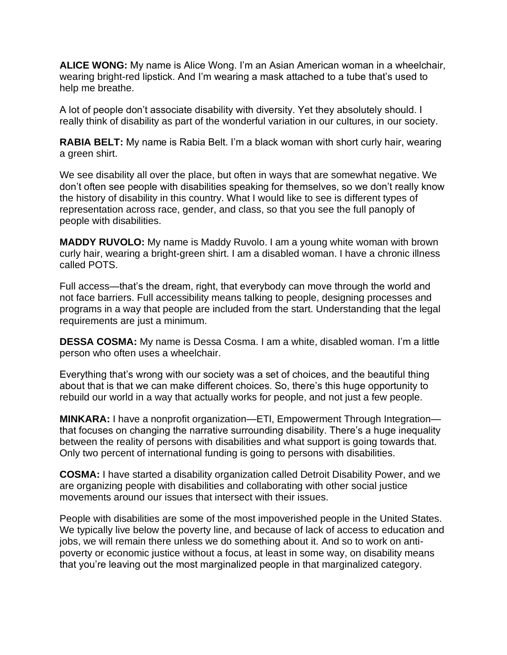**ALICE WONG:** My name is Alice Wong. I'm an Asian American woman in a wheelchair, wearing bright-red lipstick. And I'm wearing a mask attached to a tube that's used to help me breathe.

A lot of people don't associate disability with diversity. Yet they absolutely should. I really think of disability as part of the wonderful variation in our cultures, in our society.

**RABIA BELT:** My name is Rabia Belt. I'm a black woman with short curly hair, wearing a green shirt.

We see disability all over the place, but often in ways that are somewhat negative. We don't often see people with disabilities speaking for themselves, so we don't really know the history of disability in this country. What I would like to see is different types of representation across race, gender, and class, so that you see the full panoply of people with disabilities.

**MADDY RUVOLO:** My name is Maddy Ruvolo. I am a young white woman with brown curly hair, wearing a bright-green shirt. I am a disabled woman. I have a chronic illness called POTS.

Full access—that's the dream, right, that everybody can move through the world and not face barriers. Full accessibility means talking to people, designing processes and programs in a way that people are included from the start. Understanding that the legal requirements are just a minimum.

**DESSA COSMA:** My name is Dessa Cosma. I am a white, disabled woman. I'm a little person who often uses a wheelchair.

Everything that's wrong with our society was a set of choices, and the beautiful thing about that is that we can make different choices. So, there's this huge opportunity to rebuild our world in a way that actually works for people, and not just a few people.

**MINKARA:** I have a nonprofit organization—ETI, Empowerment Through Integration that focuses on changing the narrative surrounding disability. There's a huge inequality between the reality of persons with disabilities and what support is going towards that. Only two percent of international funding is going to persons with disabilities.

**COSMA:** I have started a disability organization called Detroit Disability Power, and we are organizing people with disabilities and collaborating with other social justice movements around our issues that intersect with their issues.

People with disabilities are some of the most impoverished people in the United States. We typically live below the poverty line, and because of lack of access to education and jobs, we will remain there unless we do something about it. And so to work on antipoverty or economic justice without a focus, at least in some way, on disability means that you're leaving out the most marginalized people in that marginalized category.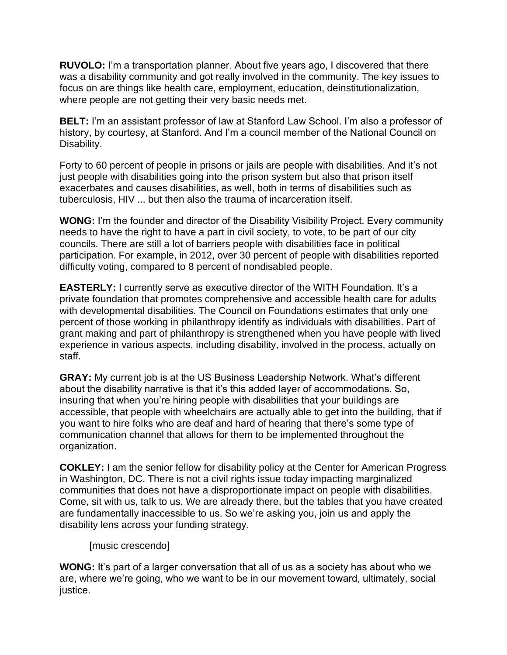**RUVOLO:** I'm a transportation planner. About five years ago, I discovered that there was a disability community and got really involved in the community. The key issues to focus on are things like health care, employment, education, deinstitutionalization, where people are not getting their very basic needs met.

**BELT:** I'm an assistant professor of law at Stanford Law School. I'm also a professor of history, by courtesy, at Stanford. And I'm a council member of the National Council on Disability.

Forty to 60 percent of people in prisons or jails are people with disabilities. And it's not just people with disabilities going into the prison system but also that prison itself exacerbates and causes disabilities, as well, both in terms of disabilities such as tuberculosis, HIV ... but then also the trauma of incarceration itself.

**WONG:** I'm the founder and director of the Disability Visibility Project. Every community needs to have the right to have a part in civil society, to vote, to be part of our city councils. There are still a lot of barriers people with disabilities face in political participation. For example, in 2012, over 30 percent of people with disabilities reported difficulty voting, compared to 8 percent of nondisabled people.

**EASTERLY:** I currently serve as executive director of the WITH Foundation. It's a private foundation that promotes comprehensive and accessible health care for adults with developmental disabilities. The Council on Foundations estimates that only one percent of those working in philanthropy identify as individuals with disabilities. Part of grant making and part of philanthropy is strengthened when you have people with lived experience in various aspects, including disability, involved in the process, actually on staff.

**GRAY:** My current job is at the US Business Leadership Network. What's different about the disability narrative is that it's this added layer of accommodations. So, insuring that when you're hiring people with disabilities that your buildings are accessible, that people with wheelchairs are actually able to get into the building, that if you want to hire folks who are deaf and hard of hearing that there's some type of communication channel that allows for them to be implemented throughout the organization.

**COKLEY:** I am the senior fellow for disability policy at the Center for American Progress in Washington, DC. There is not a civil rights issue today impacting marginalized communities that does not have a disproportionate impact on people with disabilities. Come, sit with us, talk to us. We are already there, but the tables that you have created are fundamentally inaccessible to us. So we're asking you, join us and apply the disability lens across your funding strategy.

[music crescendo]

**WONG:** It's part of a larger conversation that all of us as a society has about who we are, where we're going, who we want to be in our movement toward, ultimately, social justice.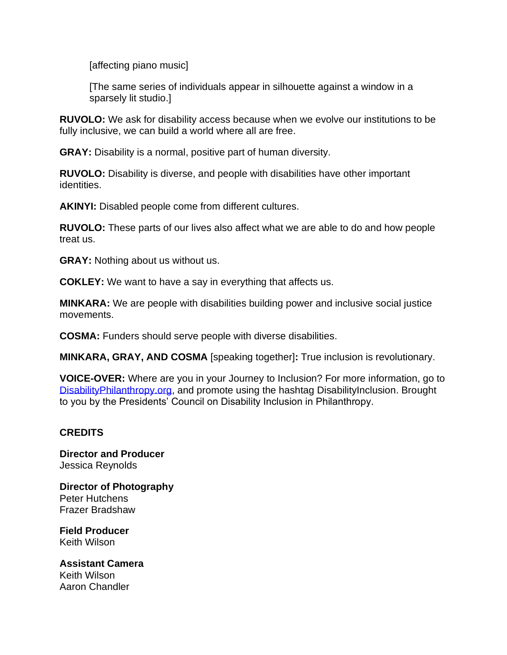[affecting piano music]

[The same series of individuals appear in silhouette against a window in a sparsely lit studio.]

**RUVOLO:** We ask for disability access because when we evolve our institutions to be fully inclusive, we can build a world where all are free.

**GRAY:** Disability is a normal, positive part of human diversity.

**RUVOLO:** Disability is diverse, and people with disabilities have other important identities.

**AKINYI:** Disabled people come from different cultures.

**RUVOLO:** These parts of our lives also affect what we are able to do and how people treat us.

**GRAY:** Nothing about us without us.

**COKLEY:** We want to have a say in everything that affects us.

**MINKARA:** We are people with disabilities building power and inclusive social justice movements.

**COSMA:** Funders should serve people with diverse disabilities.

**MINKARA, GRAY, AND COSMA** [speaking together]**:** True inclusion is revolutionary.

**VOICE-OVER:** Where are you in your Journey to Inclusion? For more information, go to [DisabilityPhilanthropy.org,](http://www.disabilityphilanthropy.org/) and promote using the hashtag DisabilityInclusion. Brought to you by the Presidents' Council on Disability Inclusion in Philanthropy.

## **CREDITS**

**Director and Producer** Jessica Reynolds

**Director of Photography** Peter Hutchens Frazer Bradshaw

**Field Producer** Keith Wilson

**Assistant Camera** Keith Wilson Aaron Chandler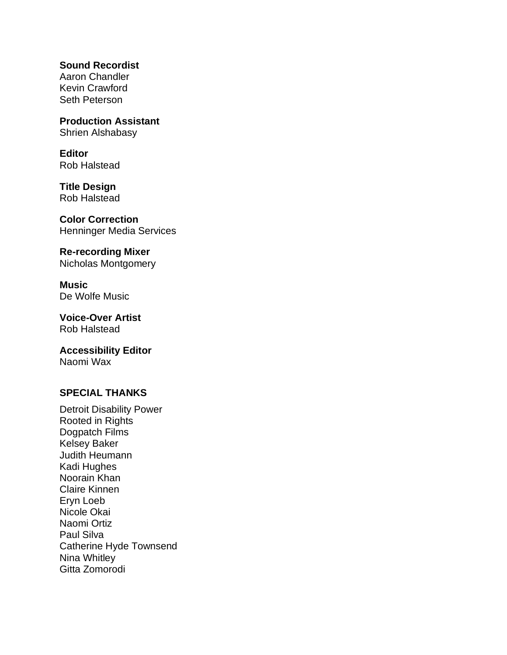**Sound Recordist** Aaron Chandler Kevin Crawford Seth Peterson

**Production Assistant** Shrien Alshabasy

**Editor** Rob Halstead

**Title Design** Rob Halstead

**Color Correction** Henninger Media Services

**Re-recording Mixer** Nicholas Montgomery

**Music** De Wolfe Music

**Voice-Over Artist** Rob Halstead

**Accessibility Editor** Naomi Wax

## **SPECIAL THANKS**

Detroit Disability Power Rooted in Rights Dogpatch Films Kelsey Baker Judith Heumann Kadi Hughes Noorain Khan Claire Kinnen Eryn Loeb Nicole Okai Naomi Ortiz Paul Silva Catherine Hyde Townsend Nina Whitley Gitta Zomorodi